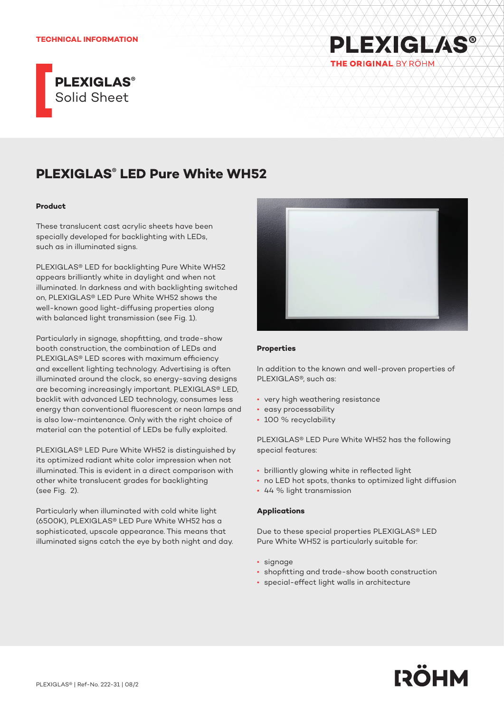### **TECHNICAL INFORMATION**



# **PLEXIGLAS® LED Pure White WH52**

## **Product**

These translucent cast acrylic sheets have been specially developed for backlighting with LEDs, such as in illuminated signs.

PLEXIGLAS® LED for backlighting Pure White WH52 appears brilliantly white in daylight and when not illuminated. In darkness and with backlighting switched on, PLEXIGLAS® LED Pure White WH52 shows the well-known good light-diffusing properties along with balanced light transmission (see Fig. 1).

Particularly in signage, shopfitting, and trade-show booth construction, the combination of LEDs and PLEXIGLAS® LED scores with maximum efficiency and excellent lighting technology. Advertising is often illuminated around the clock, so energy-saving designs are becoming increasingly important. PLEXIGLAS® LED, backlit with advanced LED technology, consumes less energy than conventional fluorescent or neon lamps and is also low-maintenance. Only with the right choice of material can the potential of LEDs be fully exploited.

PLEXIGLAS® LED Pure White WH52 is distinguished by its optimized radiant white color impression when not illuminated. This is evident in a direct comparison with other white translucent grades for backlighting (see Fig. 2).

Particularly when illuminated with cold white light (6500K), PLEXIGLAS® LED Pure White WH52 has a sophisticated, upscale appearance. This means that illuminated signs catch the eye by both night and day.



**PLEXIGLAS®** 

THE ORIGINAL BY RÖHM

#### **Properties**

In addition to the known and well-proven properties of PLEXIGLAS®, such as:

- very high weathering resistance
- easy processability
- 100 % recyclability

PLEXIGLAS® LED Pure White WH52 has the following special features:

- brilliantly glowing white in reflected light
- no LED hot spots, thanks to optimized light diffusion
- 44 % light transmission

#### **Applications**

Due to these special properties PLEXIGLAS® LED Pure White WH52 is particularly suitable for:

- signage
- shopfitting and trade-show booth construction
- special-effect light walls in architecture